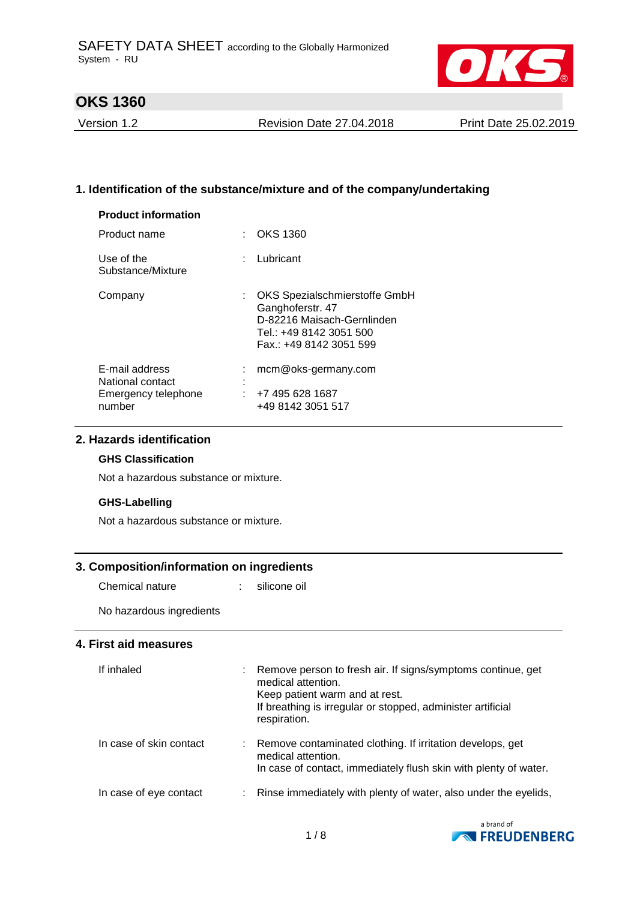

Version 1.2 Revision Date 27.04.2018 Print Date 25.02.2019

## **1. Identification of the substance/mixture and of the company/undertaking**

| <b>OKS 1360</b><br>t.                                                                                                                 |
|---------------------------------------------------------------------------------------------------------------------------------------|
| : Lubricant                                                                                                                           |
| OKS Spezialschmierstoffe GmbH<br>Ganghoferstr. 47<br>D-82216 Maisach-Gernlinden<br>Tel.: +49 8142 3051 500<br>Fax.: +49 8142 3051 599 |
| mcm@oks-germany.com                                                                                                                   |
| +7 495 628 1687<br>+49 8142 3051 517                                                                                                  |
|                                                                                                                                       |

## **2. Hazards identification**

#### **GHS Classification**

Not a hazardous substance or mixture.

#### **GHS-Labelling**

Not a hazardous substance or mixture.

#### **3. Composition/information on ingredients**

Chemical nature : silicone oil

No hazardous ingredients

#### **4. First aid measures**

| If inhaled              | Remove person to fresh air. If signs/symptoms continue, get<br>medical attention.<br>Keep patient warm and at rest.<br>If breathing is irregular or stopped, administer artificial<br>respiration. |
|-------------------------|----------------------------------------------------------------------------------------------------------------------------------------------------------------------------------------------------|
| In case of skin contact | Remove contaminated clothing. If irritation develops, get<br>medical attention.<br>In case of contact, immediately flush skin with plenty of water.                                                |
| In case of eye contact  | Rinse immediately with plenty of water, also under the eyelids,                                                                                                                                    |

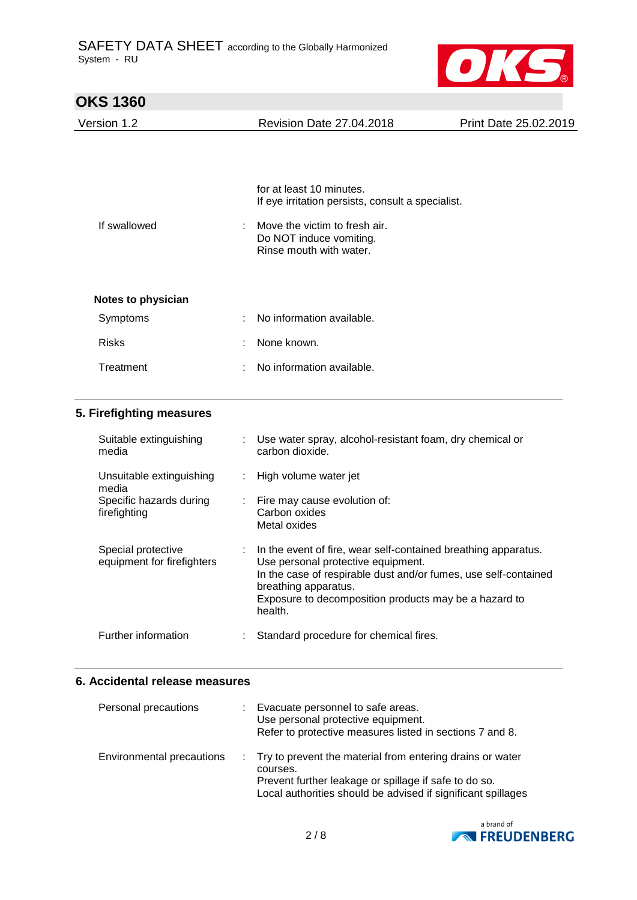

| <b>OKS 1360</b>    |                                                                                     |                       |
|--------------------|-------------------------------------------------------------------------------------|-----------------------|
| Version 1.2        | <b>Revision Date 27.04.2018</b>                                                     | Print Date 25.02.2019 |
|                    |                                                                                     |                       |
|                    | for at least 10 minutes.<br>If eye irritation persists, consult a specialist.       |                       |
| If swallowed<br>÷  | Move the victim to fresh air.<br>Do NOT induce vomiting.<br>Rinse mouth with water. |                       |
| Notes to physician |                                                                                     |                       |
| Symptoms<br>٠      | No information available.                                                           |                       |
| <b>Risks</b><br>÷  | None known.                                                                         |                       |
| Treatment<br>÷     | No information available.                                                           |                       |

## **5. Firefighting measures**

| Suitable extinguishing<br>media                  | Use water spray, alcohol-resistant foam, dry chemical or<br>carbon dioxide.                                                                                                                                                                                           |
|--------------------------------------------------|-----------------------------------------------------------------------------------------------------------------------------------------------------------------------------------------------------------------------------------------------------------------------|
| Unsuitable extinguishing<br>media                | : High volume water jet                                                                                                                                                                                                                                               |
| Specific hazards during<br>firefighting          | : Fire may cause evolution of:<br>Carbon oxides<br>Metal oxides                                                                                                                                                                                                       |
| Special protective<br>equipment for firefighters | : In the event of fire, wear self-contained breathing apparatus.<br>Use personal protective equipment.<br>In the case of respirable dust and/or fumes, use self-contained<br>breathing apparatus.<br>Exposure to decomposition products may be a hazard to<br>health. |
| Further information                              | Standard procedure for chemical fires.                                                                                                                                                                                                                                |

#### **6. Accidental release measures**

| Personal precautions      | : Evacuate personnel to safe areas.<br>Use personal protective equipment.<br>Refer to protective measures listed in sections 7 and 8.                                                            |
|---------------------------|--------------------------------------------------------------------------------------------------------------------------------------------------------------------------------------------------|
| Environmental precautions | : Try to prevent the material from entering drains or water<br>courses.<br>Prevent further leakage or spillage if safe to do so.<br>Local authorities should be advised if significant spillages |

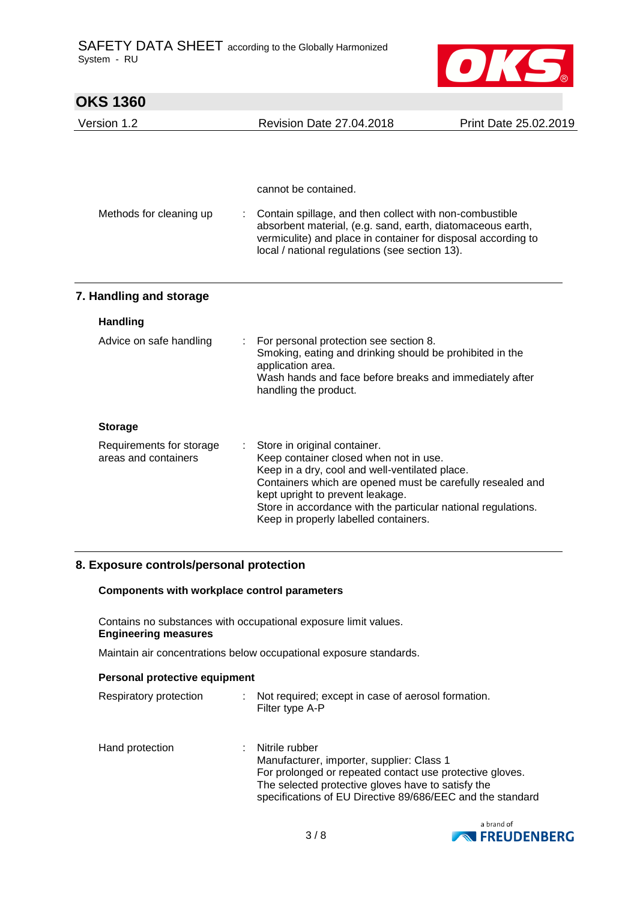

| <b>OKS 1360</b>                                  |                                                                                                                                                                                                                                                                                                                                      |                       |
|--------------------------------------------------|--------------------------------------------------------------------------------------------------------------------------------------------------------------------------------------------------------------------------------------------------------------------------------------------------------------------------------------|-----------------------|
| Version 1.2                                      | <b>Revision Date 27.04.2018</b>                                                                                                                                                                                                                                                                                                      | Print Date 25.02.2019 |
|                                                  |                                                                                                                                                                                                                                                                                                                                      |                       |
|                                                  | cannot be contained.                                                                                                                                                                                                                                                                                                                 |                       |
| Methods for cleaning up                          | Contain spillage, and then collect with non-combustible<br>absorbent material, (e.g. sand, earth, diatomaceous earth,<br>vermiculite) and place in container for disposal according to<br>local / national regulations (see section 13).                                                                                             |                       |
| 7. Handling and storage                          |                                                                                                                                                                                                                                                                                                                                      |                       |
| <b>Handling</b>                                  |                                                                                                                                                                                                                                                                                                                                      |                       |
| Advice on safe handling                          | For personal protection see section 8.<br>Smoking, eating and drinking should be prohibited in the<br>application area.<br>Wash hands and face before breaks and immediately after<br>handling the product.                                                                                                                          |                       |
| <b>Storage</b>                                   |                                                                                                                                                                                                                                                                                                                                      |                       |
| Requirements for storage<br>areas and containers | Store in original container.<br>Keep container closed when not in use.<br>Keep in a dry, cool and well-ventilated place.<br>Containers which are opened must be carefully resealed and<br>kept upright to prevent leakage.<br>Store in accordance with the particular national regulations.<br>Keep in properly labelled containers. |                       |

#### **8. Exposure controls/personal protection**

#### **Components with workplace control parameters**

Contains no substances with occupational exposure limit values. **Engineering measures**

Maintain air concentrations below occupational exposure standards.

| Personal protective equipment |  |                                                                         |  |
|-------------------------------|--|-------------------------------------------------------------------------|--|
| Respiratory protection        |  | : Not required; except in case of aerosol formation.<br>Filter type A-P |  |

| Hand protection | Nitrile rubber                                             |
|-----------------|------------------------------------------------------------|
|                 | Manufacturer, importer, supplier: Class 1                  |
|                 | For prolonged or repeated contact use protective gloves.   |
|                 | The selected protective gloves have to satisfy the         |
|                 | specifications of EU Directive 89/686/EEC and the standard |

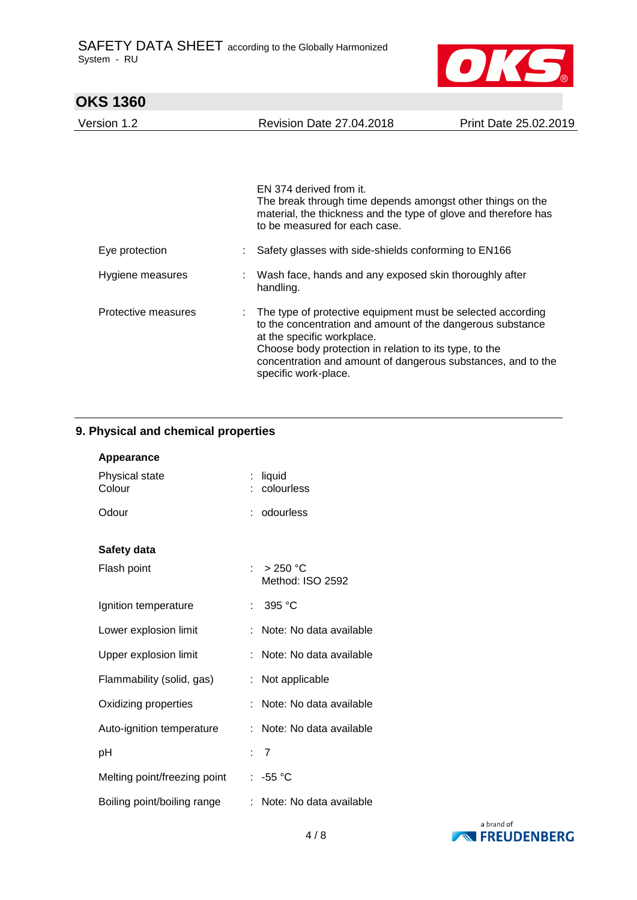

# **OKS 1360**  Version 1.2 Revision Date 27.04.2018 Print Date 25.02.2019 EN 374 derived from it. The break through time depends amongst other things on the material, the thickness and the type of glove and therefore has to be measured for each case. Eye protection : Safety glasses with side-shields conforming to EN166 Hygiene measures : Wash face, hands and any exposed skin thoroughly after handling. Protective measures : The type of protective equipment must be selected according to the concentration and amount of the dangerous substance at the specific workplace. Choose body protection in relation to its type, to the concentration and amount of dangerous substances, and to the specific work-place.

#### **9. Physical and chemical properties**

| Appearance                   |                                        |
|------------------------------|----------------------------------------|
| Physical state<br>Colour     | liquid<br>colourless                   |
| Odour                        | : odourless                            |
| Safety data                  |                                        |
| Flash point                  | : $>250^{\circ}$ C<br>Method: ISO 2592 |
| Ignition temperature         | 395 °C                                 |
| Lower explosion limit        | Note: No data available                |
| Upper explosion limit        | Note: No data available<br>÷.          |
| Flammability (solid, gas)    | Not applicable<br>÷                    |
| Oxidizing properties         | Note: No data available                |
| Auto-ignition temperature    | Note: No data available                |
| рH                           | : 7                                    |
| Melting point/freezing point | : -55 °C                               |
| Boiling point/boiling range  | Note: No data available                |

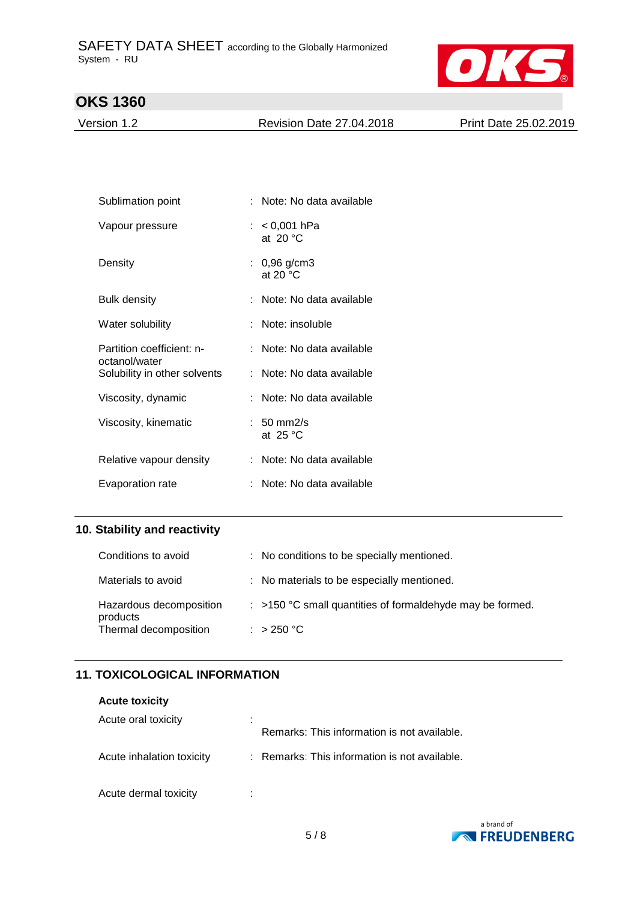

Version 1.2 Revision Date 27.04.2018 Print Date 25.02.2019

| Sublimation point                          | : Note: No data available            |
|--------------------------------------------|--------------------------------------|
| Vapour pressure                            | : $< 0,001$ hPa<br>at 20 $\degree$ C |
| Density                                    | : $0,96$ g/cm3<br>at 20 $\degree$ C  |
| Bulk density                               | : Note: No data available            |
| Water solubility                           | Note: insoluble                      |
| Partition coefficient: n-<br>octanol/water | : Note: No data available            |
| Solubility in other solvents               | : Note: No data available            |
| Viscosity, dynamic                         | : Note: No data available            |
| Viscosity, kinematic                       | $: 50 \text{ mm}$ 2/s<br>at $25 °C$  |
| Relative vapour density                    | : Note: No data available            |
| Evaporation rate                           | Note: No data available              |

## **10. Stability and reactivity**

| Conditions to avoid                 | : No conditions to be specially mentioned.                  |
|-------------------------------------|-------------------------------------------------------------|
| Materials to avoid                  | : No materials to be especially mentioned.                  |
| Hazardous decomposition<br>products | $:$ >150 °C small quantities of formaldehyde may be formed. |
| Thermal decomposition               | : $>250 °C$                                                 |

## **11. TOXICOLOGICAL INFORMATION**

#### **Acute toxicity**

| Acute oral toxicity       | ٠<br>٠<br>Remarks: This information is not available. |
|---------------------------|-------------------------------------------------------|
| Acute inhalation toxicity | : Remarks: This information is not available.         |
| Acute dermal toxicity     | ٠                                                     |

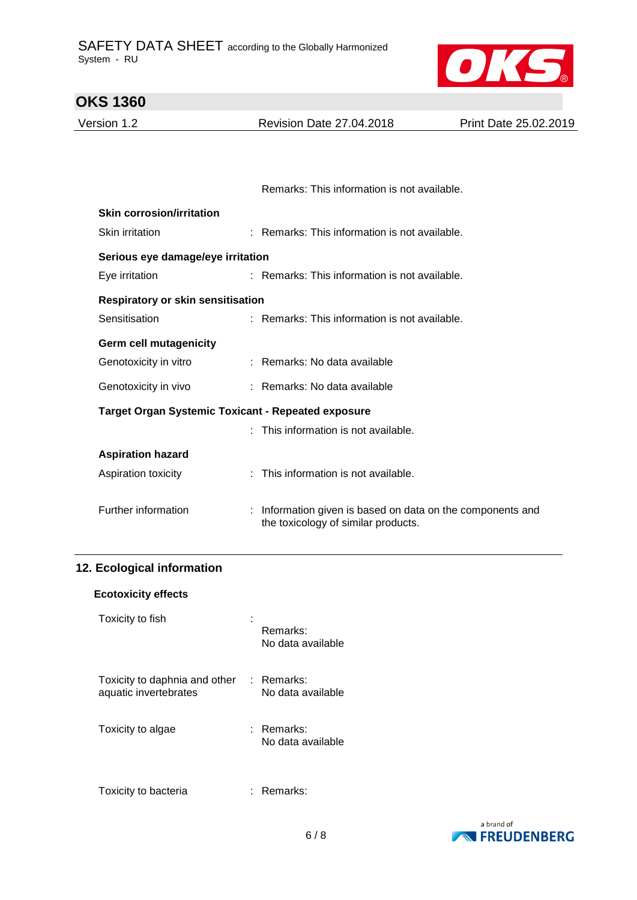

| <b>OKS 1360</b>                                           |                                                                                                 |                       |
|-----------------------------------------------------------|-------------------------------------------------------------------------------------------------|-----------------------|
| Version 1.2                                               | <b>Revision Date 27.04.2018</b>                                                                 | Print Date 25.02.2019 |
|                                                           |                                                                                                 |                       |
|                                                           |                                                                                                 |                       |
|                                                           | Remarks: This information is not available.                                                     |                       |
| <b>Skin corrosion/irritation</b>                          |                                                                                                 |                       |
| Skin irritation                                           | : Remarks: This information is not available.                                                   |                       |
| Serious eye damage/eye irritation                         |                                                                                                 |                       |
| Eye irritation                                            | : Remarks: This information is not available.                                                   |                       |
| <b>Respiratory or skin sensitisation</b>                  |                                                                                                 |                       |
| Sensitisation                                             | : Remarks: This information is not available.                                                   |                       |
| <b>Germ cell mutagenicity</b>                             |                                                                                                 |                       |
| Genotoxicity in vitro                                     | : Remarks: No data available                                                                    |                       |
| Genotoxicity in vivo                                      | : Remarks: No data available                                                                    |                       |
| <b>Target Organ Systemic Toxicant - Repeated exposure</b> |                                                                                                 |                       |
|                                                           | : This information is not available.                                                            |                       |
| <b>Aspiration hazard</b>                                  |                                                                                                 |                       |
| Aspiration toxicity                                       | : This information is not available.                                                            |                       |
|                                                           |                                                                                                 |                       |
| Further information                                       | Information given is based on data on the components and<br>the toxicology of similar products. |                       |
|                                                           |                                                                                                 |                       |

## **12. Ecological information**

| <b>Ecotoxicity effects</b> |  |
|----------------------------|--|
|----------------------------|--|

| Toxicity to fish                                       | Remarks:<br>No data available   |
|--------------------------------------------------------|---------------------------------|
| Toxicity to daphnia and other<br>aquatic invertebrates | : Remarks:<br>No data available |
| Toxicity to algae                                      | : Remarks:<br>No data available |
| Toxicity to bacteria                                   | Remarks:                        |

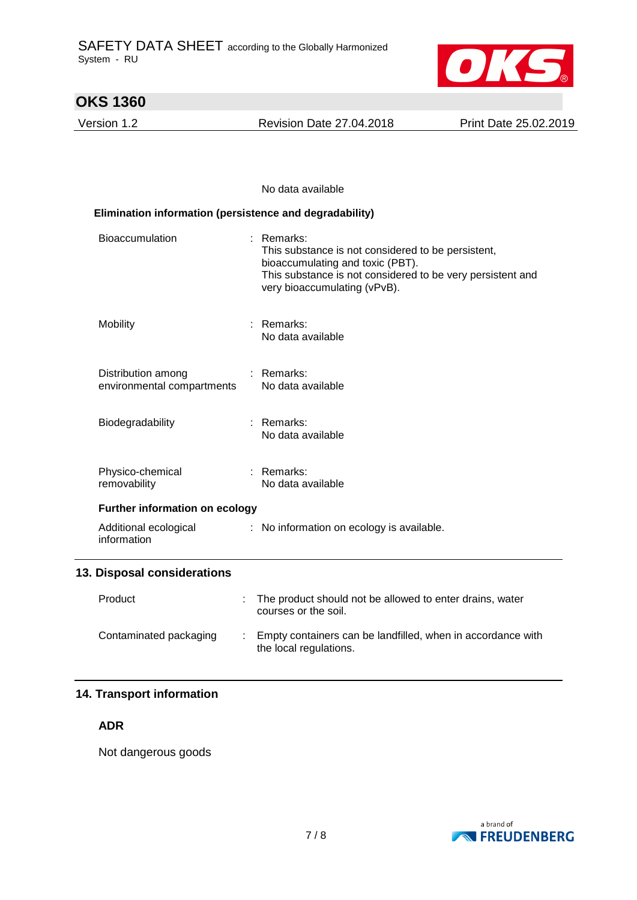

Version 1.2 Revision Date 27.04.2018 Print Date 25.02.2019

#### No data available

| Elimination information (persistence and degradability) |                                                                                                                                                                                                      |  |  |  |
|---------------------------------------------------------|------------------------------------------------------------------------------------------------------------------------------------------------------------------------------------------------------|--|--|--|
| <b>Bioaccumulation</b>                                  | $:$ Remarks:<br>This substance is not considered to be persistent,<br>bioaccumulating and toxic (PBT).<br>This substance is not considered to be very persistent and<br>very bioaccumulating (vPvB). |  |  |  |
| Mobility                                                | : Remarks:<br>No data available                                                                                                                                                                      |  |  |  |
| Distribution among<br>environmental compartments        | $:$ Remarks:<br>No data available                                                                                                                                                                    |  |  |  |
| Biodegradability                                        | : Remarks:<br>No data available                                                                                                                                                                      |  |  |  |
| Physico-chemical<br>removability                        | : Remarks:<br>No data available                                                                                                                                                                      |  |  |  |
| <b>Further information on ecology</b>                   |                                                                                                                                                                                                      |  |  |  |
| Additional ecological<br>information                    | : No information on ecology is available.                                                                                                                                                            |  |  |  |
| 13. Disposal considerations                             |                                                                                                                                                                                                      |  |  |  |
| Product                                                 | The product should not be allowed to enter drains, water<br>courses or the soil.                                                                                                                     |  |  |  |
| Contaminated packaging                                  | Empty containers can be landfilled, when in accordance with<br>the local regulations.                                                                                                                |  |  |  |

## **14. Transport information**

### **ADR**

Not dangerous goods